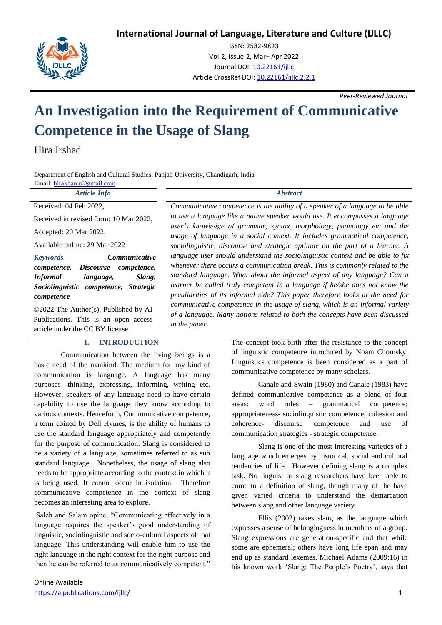**International Journal of Language, Literature and Culture (IJLLC)**



ISSN: 2582-9823 Vol-2, Issue-2, Mar– Apr 2022 Journal DOI[: 10.22161/ijllc](https://dx.doi.org/10.22161/ijllc.1.1) Article CrossRef DOI: [10.22161/ijllc.2.2.1](https://dx.doi.org/10.22161/ijllc.2.2.1)

*Peer-Reviewed Journal*

# **An Investigation into the Requirement of Communicative Competence in the Usage of Slang**

Hira Irshad

Department of English and Cultural Studies, Panjab University, Chandigarh, India

| Department of English and Canara Bradits, I anjas Chrystoff, Changigain, India<br>Email: hirakhan.r@gmail.com                                                                                            |                                                                                                                                                                                                                                                                                                                                                                                                                                                                                                                                                                                                                                                                                                                                                                                                                                                                                                                       |
|----------------------------------------------------------------------------------------------------------------------------------------------------------------------------------------------------------|-----------------------------------------------------------------------------------------------------------------------------------------------------------------------------------------------------------------------------------------------------------------------------------------------------------------------------------------------------------------------------------------------------------------------------------------------------------------------------------------------------------------------------------------------------------------------------------------------------------------------------------------------------------------------------------------------------------------------------------------------------------------------------------------------------------------------------------------------------------------------------------------------------------------------|
| <b>Article Info</b>                                                                                                                                                                                      | <i><b>Abstract</b></i>                                                                                                                                                                                                                                                                                                                                                                                                                                                                                                                                                                                                                                                                                                                                                                                                                                                                                                |
| Received: 04 Feb 2022,                                                                                                                                                                                   | Communicative competence is the ability of a speaker of a language to be able                                                                                                                                                                                                                                                                                                                                                                                                                                                                                                                                                                                                                                                                                                                                                                                                                                         |
| Received in revised form: 10 Mar 2022,                                                                                                                                                                   | to use a language like a native speaker would use. It encompasses a language<br>user's knowledge of grammar, syntax, morphology, phonology etc and the<br>usage of language in a social context. It includes grammatical competence,<br>sociolinguistic, discourse and strategic aptitude on the part of a learner. A<br>language user should understand the sociolinguistic context and be able to fix<br>whenever there occurs a communication break. This is commonly related to the<br>standard language. What about the informal aspect of any language? Can a<br>learner be called truly competent in a language if he/she does not know the<br>peculiarities of its informal side? This paper therefore looks at the need for<br>communicative competence in the usage of slang, which is an informal variety<br>of a language. Many notions related to both the concepts have been discussed<br>in the paper. |
| Accepted: 20 Mar 2022,                                                                                                                                                                                   |                                                                                                                                                                                                                                                                                                                                                                                                                                                                                                                                                                                                                                                                                                                                                                                                                                                                                                                       |
| Available online: 29 Mar 2022                                                                                                                                                                            |                                                                                                                                                                                                                                                                                                                                                                                                                                                                                                                                                                                                                                                                                                                                                                                                                                                                                                                       |
| <i>Communicative</i><br>Keywords—<br>competence,<br>competence,<br><i>Discourse</i><br><i>Informal</i><br>Slang,<br>language,<br>Sociolinguistic<br><i><b>Strategic</b></i><br>competence,<br>competence |                                                                                                                                                                                                                                                                                                                                                                                                                                                                                                                                                                                                                                                                                                                                                                                                                                                                                                                       |
| ©2022 The Author(s). Published by AI<br>Publications. This is an open access<br>article under the CC BY license                                                                                          |                                                                                                                                                                                                                                                                                                                                                                                                                                                                                                                                                                                                                                                                                                                                                                                                                                                                                                                       |

**I. INTRODUCTION**

Communication between the living beings is a basic need of the mankind. The medium for any kind of communication is language. A language has many purposes- thinking, expressing, informing, writing etc. However, speakers of any language need to have certain capability to use the language they know according to various contexts. Henceforth, Communicative competence, a term coined by Dell Hymes, is the ability of humans to use the standard language appropriately and competently for the purpose of communication. Slang is considered to be a variety of a language, sometimes referred to as sub standard language. Nonetheless, the usage of slang also needs to be appropriate according to the context in which it is being used. It cannot occur in isolation. Therefore communicative competence in the context of slang becomes an interesting area to explore.

Saleh and Salam opine, "Communicating effectively in a language requires the speaker's good understanding of linguistic, sociolinguistic and socio-cultural aspects of that language. This understanding will enable him to use the right language in the right context for the right purpose and then he can be referred to as communicatively competent."

The concept took birth after the resistance to the concept of linguistic competence introduced by Noam Chomsky. Linguistics competence is been considered as a part of communicative competence by many scholars.

Canale and Swain (1980) and Canale (1983) have defined communicative competence as a blend of four areas: word rules – grammatical competence; appropriateness- sociolinguistic competence; cohesion and coherence- discourse competence and use of communication strategies - strategic competence.

Slang is one of the most interesting varieties of a language which emerges by historical, social and cultural tendencies of life. However defining slang is a complex task. No linguist or slang researchers have been able to come to a definition of slang, though many of the have given varied criteria to understand the demarcation between slang and other language variety.

Ellis (2002) takes slang as the language which expresses a sense of belongingness in members of a group. Slang expressions are generation-specific and that while some are ephemeral; others have long life span and may end up as standard lexemes. Michael Adams (2009:16) in his known work 'Slang: The People's Poetry', says that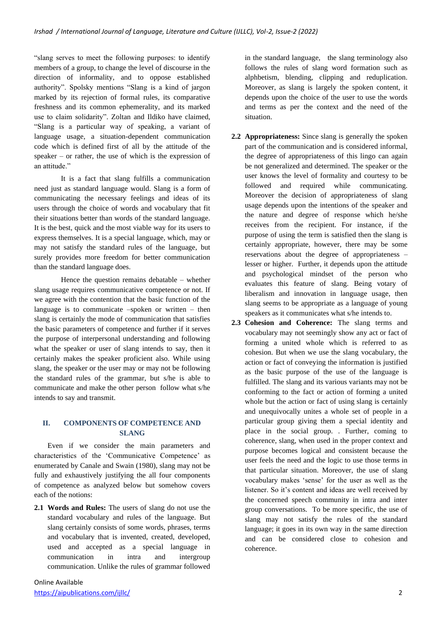"slang serves to meet the following purposes: to identify members of a group, to change the level of discourse in the direction of informality, and to oppose established authority". Spolsky mentions "Slang is a kind of jargon marked by its rejection of formal rules, its comparative freshness and its common ephemerality, and its marked use to claim solidarity". Zoltan and Ildiko have claimed, "Slang is a particular way of speaking, a variant of language usage, a situation-dependent communication code which is defined first of all by the attitude of the speaker – or rather, the use of which is the expression of an attitude."

It is a fact that slang fulfills a communication need just as standard language would. Slang is a form of communicating the necessary feelings and ideas of its users through the choice of words and vocabulary that fit their situations better than words of the standard language. It is the best, quick and the most viable way for its users to express themselves. It is a special language, which, may or may not satisfy the standard rules of the language, but surely provides more freedom for better communication than the standard language does.

Hence the question remains debatable – whether slang usage requires communicative competence or not. If we agree with the contention that the basic function of the language is to communicate –spoken or written – then slang is certainly the mode of communication that satisfies the basic parameters of competence and further if it serves the purpose of interpersonal understanding and following what the speaker or user of slang intends to say, then it certainly makes the speaker proficient also. While using slang, the speaker or the user may or may not be following the standard rules of the grammar, but s/he is able to communicate and make the other person follow what s/he intends to say and transmit.

## **II. COMPONENTS OF COMPETENCE AND SLANG**

Even if we consider the main parameters and characteristics of the 'Communicative Competence' as enumerated by Canale and Swain (1980), slang may not be fully and exhaustively justifying the all four components of competence as analyzed below but somehow covers each of the notions:

**2.1 Words and Rules:** The users of slang do not use the standard vocabulary and rules of the language. But slang certainly consists of some words, phrases, terms and vocabulary that is invented, created, developed, used and accepted as a special language in communication in intra and intergroup communication. Unlike the rules of grammar followed in the standard language, the slang terminology also follows the rules of slang word formation such as alphbetism, blending, clipping and reduplication. Moreover, as slang is largely the spoken content, it depends upon the choice of the user to use the words and terms as per the context and the need of the situation.

- **2.2 Appropriateness:** Since slang is generally the spoken part of the communication and is considered informal, the degree of appropriateness of this lingo can again be not generalized and determined. The speaker or the user knows the level of formality and courtesy to be followed and required while communicating. Moreover the decision of appropriateness of slang usage depends upon the intentions of the speaker and the nature and degree of response which he/she receives from the recipient. For instance, if the purpose of using the term is satisfied then the slang is certainly appropriate, however, there may be some reservations about the degree of appropriateness – lesser or higher. Further, it depends upon the attitude and psychological mindset of the person who evaluates this feature of slang. Being votary of liberalism and innovation in language usage, then slang seems to be appropriate as a language of young speakers as it communicates what s/he intends to.
- **2.3 Cohesion and Coherence:** The slang terms and vocabulary may not seemingly show any act or fact of forming a united whole which is referred to as cohesion. But when we use the slang vocabulary, the action or fact of conveying the information is justified as the basic purpose of the use of the language is fulfilled. The slang and its various variants may not be conforming to the fact or action of forming a united whole but the action or fact of using slang is certainly and unequivocally unites a whole set of people in a particular group giving them a special identity and place in the social group. . Further, coming to coherence, slang, when used in the proper context and purpose becomes logical and consistent because the user feels the need and the logic to use those terms in that particular situation. Moreover, the use of slang vocabulary makes 'sense' for the user as well as the listener. So it's content and ideas are well received by the concerned speech community in intra and inter group conversations. To be more specific, the use of slang may not satisfy the rules of the standard language; it goes in its own way in the same direction and can be considered close to cohesion and coherence.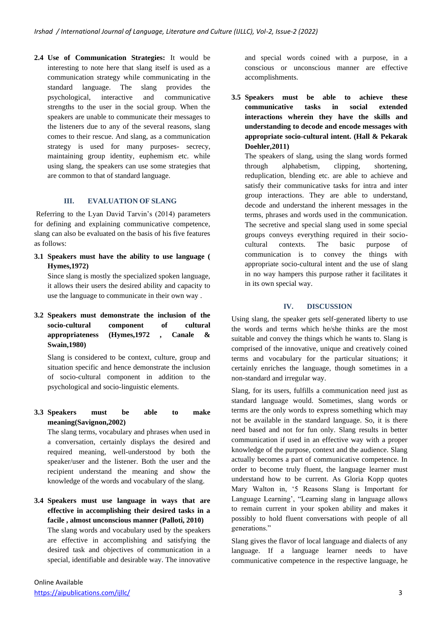**2.4 Use of Communication Strategies:** It would be interesting to note here that slang itself is used as a communication strategy while communicating in the standard language. The slang provides the psychological, interactive and communicative strengths to the user in the social group. When the speakers are unable to communicate their messages to the listeners due to any of the several reasons, slang comes to their rescue. And slang, as a communication strategy is used for many purposes- secrecy, maintaining group identity, euphemism etc. while using slang, the speakers can use some strategies that are common to that of standard language.

## **III. EVALUATION OF SLANG**

Referring to the Lyan David Tarvin's (2014) parameters for defining and explaining communicative competence, slang can also be evaluated on the basis of his five features as follows:

**3.1 Speakers must have the ability to use language ( Hymes,1972)**

Since slang is mostly the specialized spoken language, it allows their users the desired ability and capacity to use the language to communicate in their own way .

#### **3.2 Speakers must demonstrate the inclusion of the socio-cultural component of cultural appropriateness (Hymes,1972 , Canale & Swain,1980)**

Slang is considered to be context, culture, group and situation specific and hence demonstrate the inclusion of socio-cultural component in addition to the psychological and socio-linguistic elements.

## **3.3 Speakers must be able to make meaning(Savignon,2002)**

The slang terms, vocabulary and phrases when used in a conversation, certainly displays the desired and required meaning, well-understood by both the speaker/user and the listener. Both the user and the recipient understand the meaning and show the knowledge of the words and vocabulary of the slang.

**3.4 Speakers must use language in ways that are effective in accomplishing their desired tasks in a facile , almost unconscious manner (Palloti, 2010)** The slang words and vocabulary used by the speakers are effective in accomplishing and satisfying the

desired task and objectives of communication in a special, identifiable and desirable way. The innovative and special words coined with a purpose, in a conscious or unconscious manner are effective accomplishments.

**3.5 Speakers must be able to achieve these communicative tasks in social extended interactions wherein they have the skills and understanding to decode and encode messages with appropriate socio-cultural intent. (Hall & Pekarak Doehler,2011)**

The speakers of slang, using the slang words formed through alphabetism, clipping, shortening, reduplication, blending etc. are able to achieve and satisfy their communicative tasks for intra and inter group interactions. They are able to understand, decode and understand the inherent messages in the terms, phrases and words used in the communication. The secretive and special slang used in some special groups conveys everything required in their sociocultural contexts. The basic purpose of communication is to convey the things with appropriate socio-cultural intent and the use of slang in no way hampers this purpose rather it facilitates it in its own special way.

## **IV. DISCUSSION**

Using slang, the speaker gets self-generated liberty to use the words and terms which he/she thinks are the most suitable and convey the things which he wants to. Slang is comprised of the innovative, unique and creatively coined terms and vocabulary for the particular situations; it certainly enriches the language, though sometimes in a non-standard and irregular way.

Slang, for its users, fulfills a communication need just as standard language would. Sometimes, slang words or terms are the only words to express something which may not be available in the standard language. So, it is there need based and not for fun only. Slang results in better communication if used in an effective way with a proper knowledge of the purpose, context and the audience. Slang actually becomes a part of communicative competence. In order to become truly fluent, the language learner must understand how to be current. As Gloria Kopp quotes Mary Walton in, '5 Reasons Slang is Important for Language Learning', "Learning slang in language allows to remain current in your spoken ability and makes it possibly to hold fluent conversations with people of all generations."

Slang gives the flavor of local language and dialects of any language. If a language learner needs to have communicative competence in the respective language, he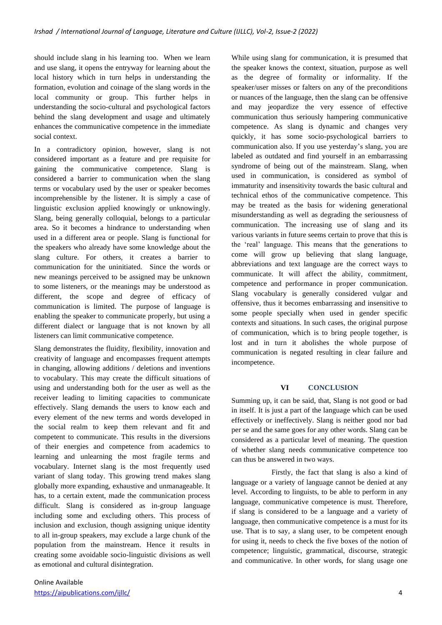should include slang in his learning too. When we learn and use slang, it opens the entryway for learning about the local history which in turn helps in understanding the formation, evolution and coinage of the slang words in the local community or group. This further helps in understanding the socio-cultural and psychological factors behind the slang development and usage and ultimately enhances the communicative competence in the immediate social context.

In a contradictory opinion, however, slang is not considered important as a feature and pre requisite for gaining the communicative competence. Slang is considered a barrier to communication when the slang terms or vocabulary used by the user or speaker becomes incomprehensible by the listener. It is simply a case of linguistic exclusion applied knowingly or unknowingly. Slang, being generally colloquial, belongs to a particular area. So it becomes a hindrance to understanding when used in a different area or people. Slang is functional for the speakers who already have some knowledge about the slang culture. For others, it creates a barrier to communication for the uninitiated. Since the words or new meanings perceived to be assigned may be unknown to some listeners, or the meanings may be understood as different, the scope and degree of efficacy of communication is limited. The purpose of language is enabling the speaker to communicate properly, but using a different dialect or language that is not known by all listeners can limit communicative competence.

Slang demonstrates the fluidity, flexibility, innovation and creativity of language and encompasses frequent attempts in changing, allowing additions / deletions and inventions to vocabulary. This may create the difficult situations of using and understanding both for the user as well as the receiver leading to limiting capacities to communicate effectively. Slang demands the users to know each and every element of the new terms and words developed in the social realm to keep them relevant and fit and competent to communicate. This results in the diversions of their energies and competence from academics to learning and unlearning the most fragile terms and vocabulary. Internet slang is the most frequently used variant of slang today. This growing trend makes slang globally more expanding, exhaustive and unmanageable. It has, to a certain extent, made the communication process difficult. Slang is considered as in-group language including some and excluding others. This process of inclusion and exclusion, though assigning unique identity to all in-group speakers, may exclude a large chunk of the population from the mainstream. Hence it results in creating some avoidable socio-linguistic divisions as well as emotional and cultural disintegration.

While using slang for communication, it is presumed that the speaker knows the context, situation, purpose as well as the degree of formality or informality. If the speaker/user misses or falters on any of the preconditions or nuances of the language, then the slang can be offensive and may jeopardize the very essence of effective communication thus seriously hampering communicative competence. As slang is dynamic and changes very quickly, it has some socio-psychological barriers to communication also. If you use yesterday's slang, you are labeled as outdated and find yourself in an embarrassing syndrome of being out of the mainstream. Slang, when used in communication, is considered as symbol of immaturity and insensitivity towards the basic cultural and technical ethos of the communicative competence. This may be treated as the basis for widening generational misunderstanding as well as degrading the seriousness of communication. The increasing use of slang and its various variants in future seems certain to prove that this is the 'real' language. This means that the generations to come will grow up believing that slang language, abbreviations and text language are the correct ways to communicate. It will affect the ability, commitment, competence and performance in proper communication. Slang vocabulary is generally considered vulgar and offensive, thus it becomes embarrassing and insensitive to some people specially when used in gender specific contexts and situations. In such cases, the original purpose of communication, which is to bring people together, is lost and in turn it abolishes the whole purpose of communication is negated resulting in clear failure and incompetence.

#### **VI CONCLUSION**

Summing up, it can be said, that, Slang is not good or bad in itself. It is just a part of the language which can be used effectively or ineffectively. Slang is neither good nor bad per se and the same goes for any other words. Slang can be considered as a particular level of meaning. The question of whether slang needs communicative competence too can thus be answered in two ways.

Firstly, the fact that slang is also a kind of language or a variety of language cannot be denied at any level. According to linguists, to be able to perform in any language, communicative competence is must. Therefore, if slang is considered to be a language and a variety of language, then communicative competence is a must for its use. That is to say, a slang user, to be competent enough for using it, needs to check the five boxes of the notion of competence; linguistic, grammatical, discourse, strategic and communicative. In other words, for slang usage one